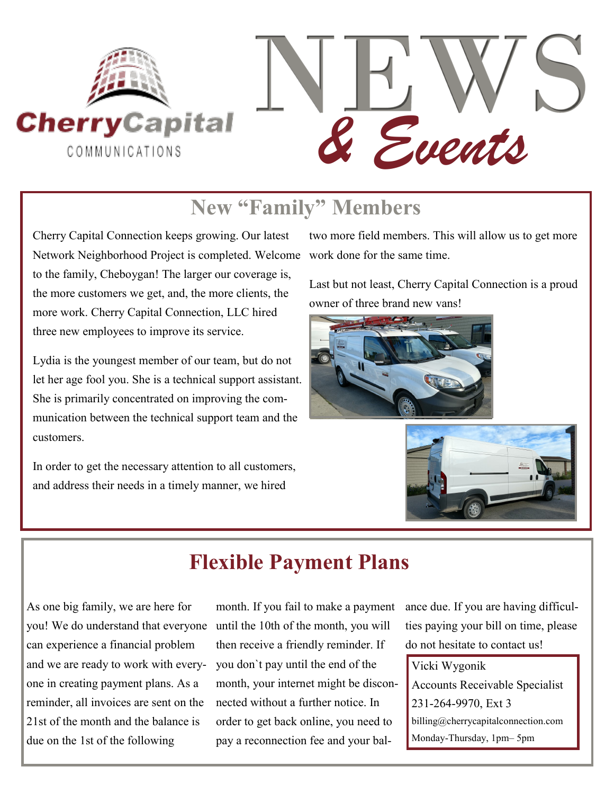

## **New "Family" Members**

Cherry Capital Connection keeps growing. Our latest Network Neighborhood Project is completed. Welcome work done for the same time. to the family, Cheboygan! The larger our coverage is, the more customers we get, and, the more clients, the more work. Cherry Capital Connection, LLC hired three new employees to improve its service.

Lydia is the youngest member of our team, but do not let her age fool you. She is a technical support assistant. She is primarily concentrated on improving the communication between the technical support team and the customers.

In order to get the necessary attention to all customers, and address their needs in a timely manner, we hired

two more field members. This will allow us to get more

Last but not least, Cherry Capital Connection is a proud owner of three brand new vans!





## **Flexible Payment Plans**

As one big family, we are here for can experience a financial problem and we are ready to work with everyone in creating payment plans. As a reminder, all invoices are sent on the 21st of the month and the balance is due on the 1st of the following

you! We do understand that everyone until the 10th of the month, you will month. If you fail to make a payment then receive a friendly reminder. If you don`t pay until the end of the month, your internet might be disconnected without a further notice. In order to get back online, you need to pay a reconnection fee and your bal-

ance due. If you are having difficulties paying your bill on time, please do not hesitate to contact us!

Vicki Wygonik Accounts Receivable Specialist 231-264-9970, Ext 3 billing@cherrycapitalconnection.com Monday-Thursday, 1pm– 5pm